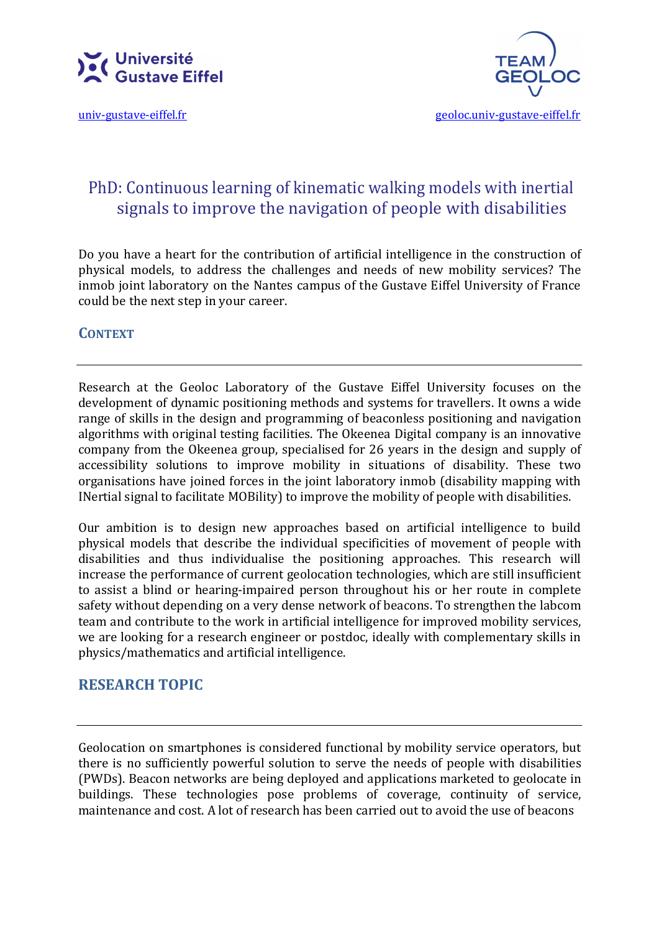



# PhD: Continuous learning of kinematic walking models with inertial signals to improve the navigation of people with disabilities

Do you have a heart for the contribution of artificial intelligence in the construction of physical models, to address the challenges and needs of new mobility services? The inmob joint laboratory on the Nantes campus of the Gustave Eiffel University of France could be the next step in your career.

### **CONTEXT**

Research at the Geoloc Laboratory of the Gustave Eiffel University focuses on the development of dynamic positioning methods and systems for travellers. It owns a wide range of skills in the design and programming of beaconless positioning and navigation algorithms with original testing facilities. The Okeenea Digital company is an innovative company from the Okeenea group, specialised for 26 years in the design and supply of accessibility solutions to improve mobility in situations of disability. These two organisations have joined forces in the joint laboratory inmob (disability mapping with INertial signal to facilitate MOBility) to improve the mobility of people with disabilities.

Our ambition is to design new approaches based on artificial intelligence to build physical models that describe the individual specificities of movement of people with disabilities and thus individualise the positioning approaches. This research will increase the performance of current geolocation technologies, which are still insufficient to assist a blind or hearing-impaired person throughout his or her route in complete safety without depending on a very dense network of beacons. To strengthen the labcom team and contribute to the work in artificial intelligence for improved mobility services, we are looking for a research engineer or postdoc, ideally with complementary skills in physics/mathematics and artificial intelligence.

## RESEARCH TOPIC

Geolocation on smartphones is considered functional by mobility service operators, but there is no sufficiently powerful solution to serve the needs of people with disabilities (PWDs). Beacon networks are being deployed and applications marketed to geolocate in buildings. These technologies pose problems of coverage, continuity of service, maintenance and cost. A lot of research has been carried out to avoid the use of beacons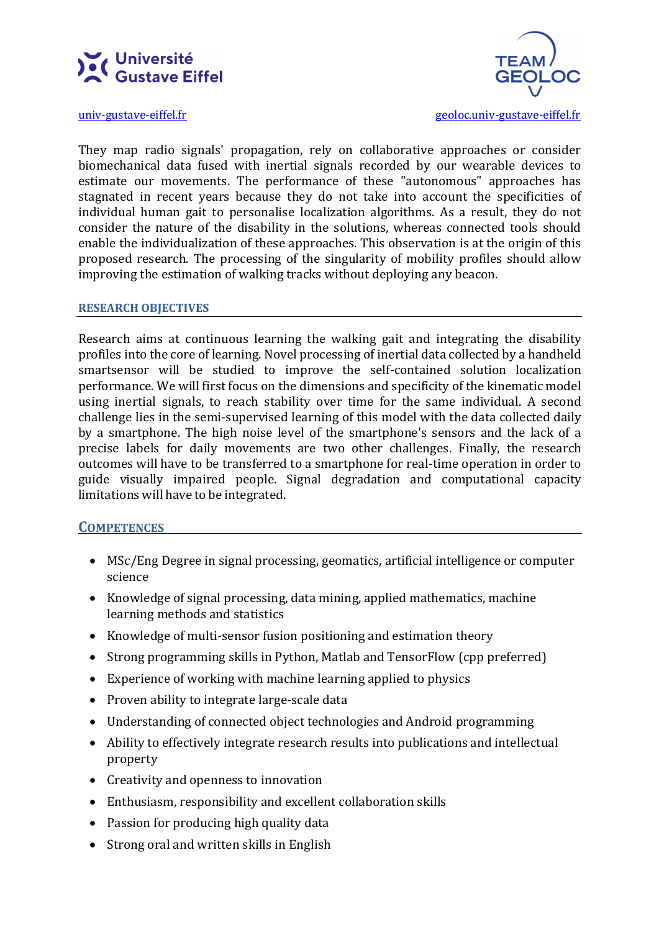



univ-gustave-eiffel.fr geoloc.univ-gustave-eiffel.fr

They map radio signals' propagation, rely on collaborative approaches or consider biomechanical data fused with inertial signals recorded by our wearable devices to estimate our movements. The performance of these "autonomous" approaches has stagnated in recent years because they do not take into account the specificities of individual human gait to personalise localization algorithms. As a result, they do not consider the nature of the disability in the solutions, whereas connected tools should enable the individualization of these approaches. This observation is at the origin of this proposed research. The processing of the singularity of mobility profiles should allow improving the estimation of walking tracks without deploying any beacon.

### RESEARCH OBJECTIVES

Research aims at continuous learning the walking gait and integrating the disability profiles into the core of learning. Novel processing of inertial data collected by a handheld smartsensor will be studied to improve the self-contained solution localization performance. We will first focus on the dimensions and specificity of the kinematic model using inertial signals, to reach stability over time for the same individual. A second challenge lies in the semi-supervised learning of this model with the data collected daily by a smartphone. The high noise level of the smartphone's sensors and the lack of a precise labels for daily movements are two other challenges. Finally, the research outcomes will have to be transferred to a smartphone for real-time operation in order to guide visually impaired people. Signal degradation and computational capacity limitations will have to be integrated.

### **COMPETENCES**

- MSc/Eng Degree in signal processing, geomatics, artificial intelligence or computer science
- Knowledge of signal processing, data mining, applied mathematics, machine learning methods and statistics
- Knowledge of multi-sensor fusion positioning and estimation theory
- Strong programming skills in Python, Matlab and TensorFlow (cpp preferred)
- Experience of working with machine learning applied to physics
- Proven ability to integrate large-scale data
- Understanding of connected object technologies and Android programming
- Ability to effectively integrate research results into publications and intellectual property
- Creativity and openness to innovation
- Enthusiasm, responsibility and excellent collaboration skills
- Passion for producing high quality data
- Strong oral and written skills in English